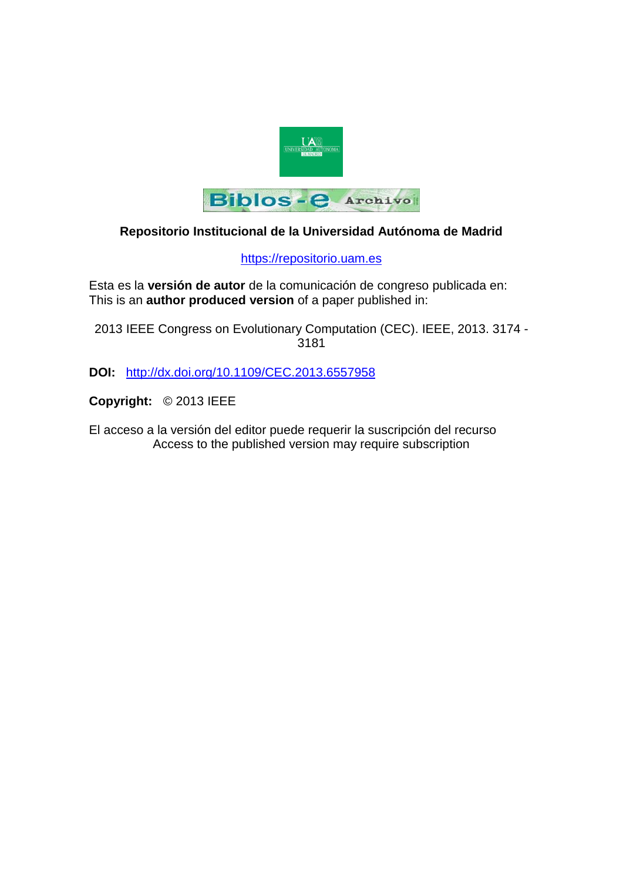

# **Repositorio Institucional de la Universidad Autónoma de Madrid**

# [https://repositorio.uam.es](https://repositorio.uam.es/)

Esta es la **versión de autor** de la comunicación de congreso publicada en: This is an **author produced version** of a paper published in:

2013 IEEE Congress on Evolutionary Computation (CEC). IEEE, 2013. 3174 - 3181

**DOI:** <http://dx.doi.org/10.1109/CEC.2013.6557958>

**Copyright:** © 2013 IEEE

El acceso a la versión del editor puede requerir la suscripción del recurso Access to the published version may require subscription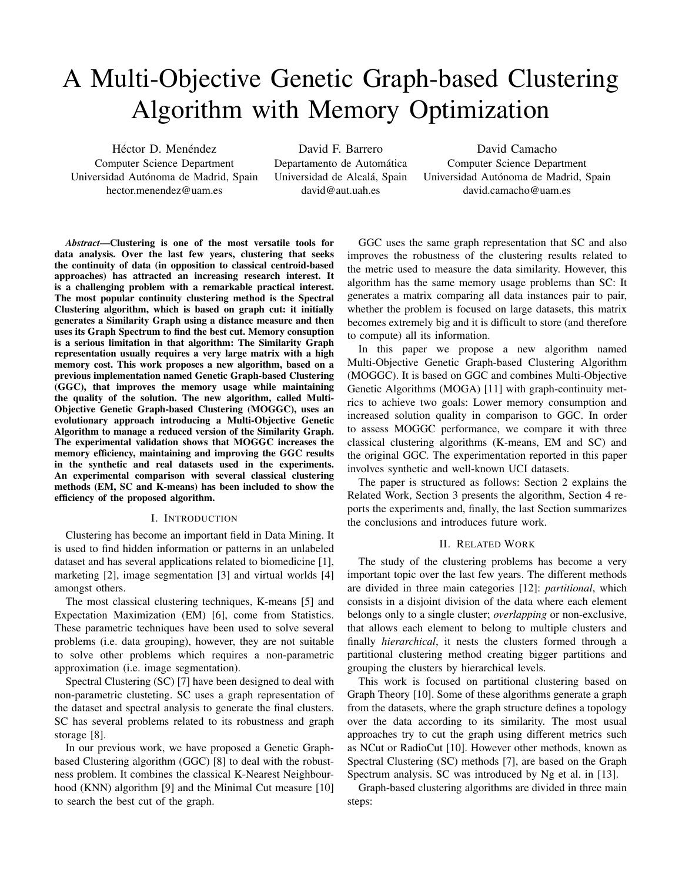# A Multi-Objective Genetic Graph-based Clustering Algorithm with Memory Optimization

Héctor D. Menéndez Computer Science Department Universidad Autonoma de Madrid, Spain ´ hector.menendez@uam.es

David F. Barrero Departamento de Automática Universidad de Alcalá, Spain

david@aut.uah.es

David Camacho Computer Science Department Universidad Autónoma de Madrid, Spain david.camacho@uam.es

*Abstract*—Clustering is one of the most versatile tools for data analysis. Over the last few years, clustering that seeks the continuity of data (in opposition to classical centroid-based approaches) has attracted an increasing research interest. It is a challenging problem with a remarkable practical interest. The most popular continuity clustering method is the Spectral Clustering algorithm, which is based on graph cut: it initially generates a Similarity Graph using a distance measure and then uses its Graph Spectrum to find the best cut. Memory consuption is a serious limitation in that algorithm: The Similarity Graph representation usually requires a very large matrix with a high memory cost. This work proposes a new algorithm, based on a previous implementation named Genetic Graph-based Clustering (GGC), that improves the memory usage while maintaining the quality of the solution. The new algorithm, called Multi-Objective Genetic Graph-based Clustering (MOGGC), uses an evolutionary approach introducing a Multi-Objective Genetic Algorithm to manage a reduced version of the Similarity Graph. The experimental validation shows that MOGGC increases the memory efficiency, maintaining and improving the GGC results in the synthetic and real datasets used in the experiments. An experimental comparison with several classical clustering methods (EM, SC and K-means) has been included to show the efficiency of the proposed algorithm.

#### I. INTRODUCTION

Clustering has become an important field in Data Mining. It is used to find hidden information or patterns in an unlabeled dataset and has several applications related to biomedicine [1], marketing [2], image segmentation [3] and virtual worlds [4] amongst others.

The most classical clustering techniques, K-means [5] and Expectation Maximization (EM) [6], come from Statistics. These parametric techniques have been used to solve several problems (i.e. data grouping), however, they are not suitable to solve other problems which requires a non-parametric approximation (i.e. image segmentation).

Spectral Clustering (SC) [7] have been designed to deal with non-parametric clusteting. SC uses a graph representation of the dataset and spectral analysis to generate the final clusters. SC has several problems related to its robustness and graph storage [8].

In our previous work, we have proposed a Genetic Graphbased Clustering algorithm (GGC) [8] to deal with the robustness problem. It combines the classical K-Nearest Neighbourhood (KNN) algorithm [9] and the Minimal Cut measure [10] to search the best cut of the graph.

GGC uses the same graph representation that SC and also improves the robustness of the clustering results related to the metric used to measure the data similarity. However, this algorithm has the same memory usage problems than SC: It generates a matrix comparing all data instances pair to pair, whether the problem is focused on large datasets, this matrix becomes extremely big and it is difficult to store (and therefore to compute) all its information.

In this paper we propose a new algorithm named Multi-Objective Genetic Graph-based Clustering Algorithm (MOGGC). It is based on GGC and combines Multi-Objective Genetic Algorithms (MOGA) [11] with graph-continuity metrics to achieve two goals: Lower memory consumption and increased solution quality in comparison to GGC. In order to assess MOGGC performance, we compare it with three classical clustering algorithms (K-means, EM and SC) and the original GGC. The experimentation reported in this paper involves synthetic and well-known UCI datasets.

The paper is structured as follows: Section 2 explains the Related Work, Section 3 presents the algorithm, Section 4 reports the experiments and, finally, the last Section summarizes the conclusions and introduces future work.

#### II. RELATED WORK

The study of the clustering problems has become a very important topic over the last few years. The different methods are divided in three main categories [12]: *partitional*, which consists in a disjoint division of the data where each element belongs only to a single cluster; *overlapping* or non-exclusive, that allows each element to belong to multiple clusters and finally *hierarchical*, it nests the clusters formed through a partitional clustering method creating bigger partitions and grouping the clusters by hierarchical levels.

This work is focused on partitional clustering based on Graph Theory [10]. Some of these algorithms generate a graph from the datasets, where the graph structure defines a topology over the data according to its similarity. The most usual approaches try to cut the graph using different metrics such as NCut or RadioCut [10]. However other methods, known as Spectral Clustering (SC) methods [7], are based on the Graph Spectrum analysis. SC was introduced by Ng et al. in [13].

Graph-based clustering algorithms are divided in three main steps: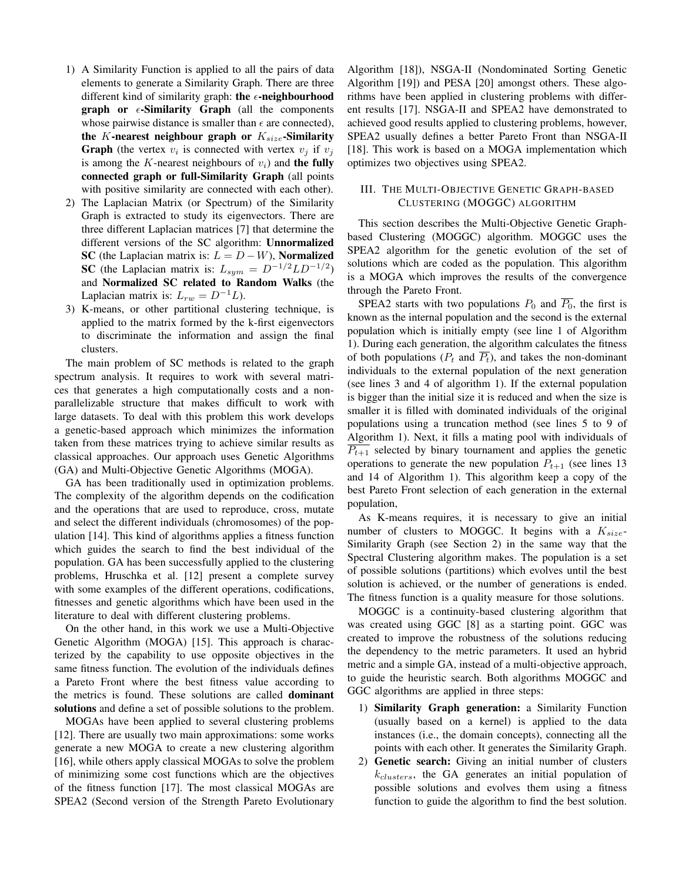- 1) A Similarity Function is applied to all the pairs of data elements to generate a Similarity Graph. There are three different kind of similarity graph: the  $\epsilon$ -neighbourhood graph or  $\epsilon$ -Similarity Graph (all the components whose pairwise distance is smaller than  $\epsilon$  are connected), the K-nearest neighbour graph or  $K_{size}$ -Similarity **Graph** (the vertex  $v_i$  is connected with vertex  $v_j$  if  $v_j$ is among the K-nearest neighbours of  $v_i$ ) and the fully connected graph or full-Similarity Graph (all points with positive similarity are connected with each other).
- 2) The Laplacian Matrix (or Spectrum) of the Similarity Graph is extracted to study its eigenvectors. There are three different Laplacian matrices [7] that determine the different versions of the SC algorithm: Unnormalized SC (the Laplacian matrix is:  $L = D - W$ ), Normalized **SC** (the Laplacian matrix is:  $L_{sym} = D^{-1/2}LD^{-1/2}$ ) and Normalized SC related to Random Walks (the Laplacian matrix is:  $L_{rw} = D^{-1}L$ .
- 3) K-means, or other partitional clustering technique, is applied to the matrix formed by the k-first eigenvectors to discriminate the information and assign the final clusters.

The main problem of SC methods is related to the graph spectrum analysis. It requires to work with several matrices that generates a high computationally costs and a nonparallelizable structure that makes difficult to work with large datasets. To deal with this problem this work develops a genetic-based approach which minimizes the information taken from these matrices trying to achieve similar results as classical approaches. Our approach uses Genetic Algorithms (GA) and Multi-Objective Genetic Algorithms (MOGA).

GA has been traditionally used in optimization problems. The complexity of the algorithm depends on the codification and the operations that are used to reproduce, cross, mutate and select the different individuals (chromosomes) of the population [14]. This kind of algorithms applies a fitness function which guides the search to find the best individual of the population. GA has been successfully applied to the clustering problems, Hruschka et al. [12] present a complete survey with some examples of the different operations, codifications, fitnesses and genetic algorithms which have been used in the literature to deal with different clustering problems.

On the other hand, in this work we use a Multi-Objective Genetic Algorithm (MOGA) [15]. This approach is characterized by the capability to use opposite objectives in the same fitness function. The evolution of the individuals defines a Pareto Front where the best fitness value according to the metrics is found. These solutions are called dominant solutions and define a set of possible solutions to the problem.

MOGAs have been applied to several clustering problems [12]. There are usually two main approximations: some works generate a new MOGA to create a new clustering algorithm [16], while others apply classical MOGAs to solve the problem of minimizing some cost functions which are the objectives of the fitness function [17]. The most classical MOGAs are SPEA2 (Second version of the Strength Pareto Evolutionary Algorithm [18]), NSGA-II (Nondominated Sorting Genetic Algorithm [19]) and PESA [20] amongst others. These algorithms have been applied in clustering problems with different results [17]. NSGA-II and SPEA2 have demonstrated to achieved good results applied to clustering problems, however, SPEA2 usually defines a better Pareto Front than NSGA-II [18]. This work is based on a MOGA implementation which optimizes two objectives using SPEA2.

# III. THE MULTI-OBJECTIVE GENETIC GRAPH-BASED CLUSTERING (MOGGC) ALGORITHM

This section describes the Multi-Objective Genetic Graphbased Clustering (MOGGC) algorithm. MOGGC uses the SPEA2 algorithm for the genetic evolution of the set of solutions which are coded as the population. This algorithm is a MOGA which improves the results of the convergence through the Pareto Front.

SPEA2 starts with two populations  $P_0$  and  $\overline{P_0}$ , the first is known as the internal population and the second is the external population which is initially empty (see line 1 of Algorithm 1). During each generation, the algorithm calculates the fitness of both populations ( $P_t$  and  $\overline{P_t}$ ), and takes the non-dominant individuals to the external population of the next generation (see lines 3 and 4 of algorithm 1). If the external population is bigger than the initial size it is reduced and when the size is smaller it is filled with dominated individuals of the original populations using a truncation method (see lines 5 to 9 of Algorithm 1). Next, it fills a mating pool with individuals of  $\overline{P_{t+1}}$  selected by binary tournament and applies the genetic operations to generate the new population  $P_{t+1}$  (see lines 13 and 14 of Algorithm 1). This algorithm keep a copy of the best Pareto Front selection of each generation in the external population,

As K-means requires, it is necessary to give an initial number of clusters to MOGGC. It begins with a  $K_{size}$ -Similarity Graph (see Section 2) in the same way that the Spectral Clustering algorithm makes. The population is a set of possible solutions (partitions) which evolves until the best solution is achieved, or the number of generations is ended. The fitness function is a quality measure for those solutions.

MOGGC is a continuity-based clustering algorithm that was created using GGC [8] as a starting point. GGC was created to improve the robustness of the solutions reducing the dependency to the metric parameters. It used an hybrid metric and a simple GA, instead of a multi-objective approach, to guide the heuristic search. Both algorithms MOGGC and GGC algorithms are applied in three steps:

- 1) Similarity Graph generation: a Similarity Function (usually based on a kernel) is applied to the data instances (i.e., the domain concepts), connecting all the points with each other. It generates the Similarity Graph.
- 2) Genetic search: Giving an initial number of clusters  $k_{clusters}$ , the GA generates an initial population of possible solutions and evolves them using a fitness function to guide the algorithm to find the best solution.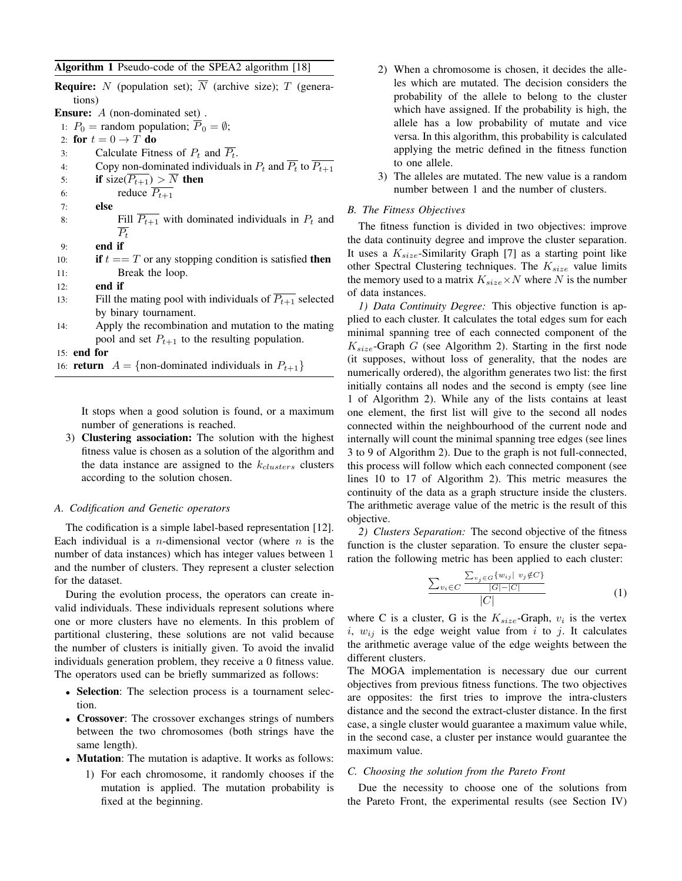Algorithm 1 Pseudo-code of the SPEA2 algorithm [18]

**Require:** N (population set);  $\overline{N}$  (archive size); T (generations)

Ensure: A (non-dominated set). 1:  $P_0$  = random population;  $\overline{P}_0 = \emptyset$ ; 2: for  $t = 0 \rightarrow T$  do 3: Calculate Fitness of  $P_t$  and  $\overline{P_t}$ . 4: Copy non-dominated individuals in  $P_t$  and  $\overline{P_t}$  to  $\overline{P_{t+1}}$ 5: if  $size(\overline{P_{t+1}}) > \overline{N}$  then 6: reduce  $\overline{P_{t+1}}$ 7: else 8: Fill  $\overline{P_{t+1}}$  with dominated individuals in  $P_t$  and  $\overline{P_4}$ 9: end if 10: **if**  $t == T$  or any stopping condition is satisfied **then** 11: Break the loop. 12: end if 13: Fill the mating pool with individuals of  $\overline{P_{t+1}}$  selected by binary tournament. 14: Apply the recombination and mutation to the mating pool and set  $P_{t+1}$  to the resulting population. 15: end for

16: **return**  $A = \{$ non-dominated individuals in  $P_{t+1}$ }

It stops when a good solution is found, or a maximum number of generations is reached.

3) Clustering association: The solution with the highest fitness value is chosen as a solution of the algorithm and the data instance are assigned to the  $k_{clusters}$  clusters according to the solution chosen.

#### *A. Codification and Genetic operators*

The codification is a simple label-based representation [12]. Each individual is a *n*-dimensional vector (where *n* is the number of data instances) which has integer values between 1 and the number of clusters. They represent a cluster selection for the dataset.

During the evolution process, the operators can create invalid individuals. These individuals represent solutions where one or more clusters have no elements. In this problem of partitional clustering, these solutions are not valid because the number of clusters is initially given. To avoid the invalid individuals generation problem, they receive a 0 fitness value. The operators used can be briefly summarized as follows:

- Selection: The selection process is a tournament selection.
- Crossover: The crossover exchanges strings of numbers between the two chromosomes (both strings have the same length).
- Mutation: The mutation is adaptive. It works as follows:
	- 1) For each chromosome, it randomly chooses if the mutation is applied. The mutation probability is fixed at the beginning.
- 2) When a chromosome is chosen, it decides the alleles which are mutated. The decision considers the probability of the allele to belong to the cluster which have assigned. If the probability is high, the allele has a low probability of mutate and vice versa. In this algorithm, this probability is calculated applying the metric defined in the fitness function to one allele.
- 3) The alleles are mutated. The new value is a random number between 1 and the number of clusters.

#### *B. The Fitness Objectives*

The fitness function is divided in two objectives: improve the data continuity degree and improve the cluster separation. It uses a  $K_{size}$ -Similarity Graph [7] as a starting point like other Spectral Clustering techniques. The  $K_{size}$  value limits the memory used to a matrix  $K_{size} \times N$  where N is the number of data instances.

*1) Data Continuity Degree:* This objective function is applied to each cluster. It calculates the total edges sum for each minimal spanning tree of each connected component of the  $K_{size}$ -Graph G (see Algorithm 2). Starting in the first node (it supposes, without loss of generality, that the nodes are numerically ordered), the algorithm generates two list: the first initially contains all nodes and the second is empty (see line 1 of Algorithm 2). While any of the lists contains at least one element, the first list will give to the second all nodes connected within the neighbourhood of the current node and internally will count the minimal spanning tree edges (see lines 3 to 9 of Algorithm 2). Due to the graph is not full-connected, this process will follow which each connected component (see lines 10 to 17 of Algorithm 2). This metric measures the continuity of the data as a graph structure inside the clusters. The arithmetic average value of the metric is the result of this objective.

*2) Clusters Separation:* The second objective of the fitness function is the cluster separation. To ensure the cluster separation the following metric has been applied to each cluster:

$$
\frac{\sum_{v_i \in C} \frac{\sum_{v_j \in G} \{w_{ij} \mid v_j \notin C\}}{|G| - |C|}}{|C|}
$$
\n(1)

where C is a cluster, G is the  $K_{size}$ -Graph,  $v_i$  is the vertex i,  $w_{ij}$  is the edge weight value from i to j. It calculates the arithmetic average value of the edge weights between the different clusters.

The MOGA implementation is necessary due our current objectives from previous fitness functions. The two objectives are opposites: the first tries to improve the intra-clusters distance and the second the extract-cluster distance. In the first case, a single cluster would guarantee a maximum value while, in the second case, a cluster per instance would guarantee the maximum value.

#### *C. Choosing the solution from the Pareto Front*

Due the necessity to choose one of the solutions from the Pareto Front, the experimental results (see Section IV)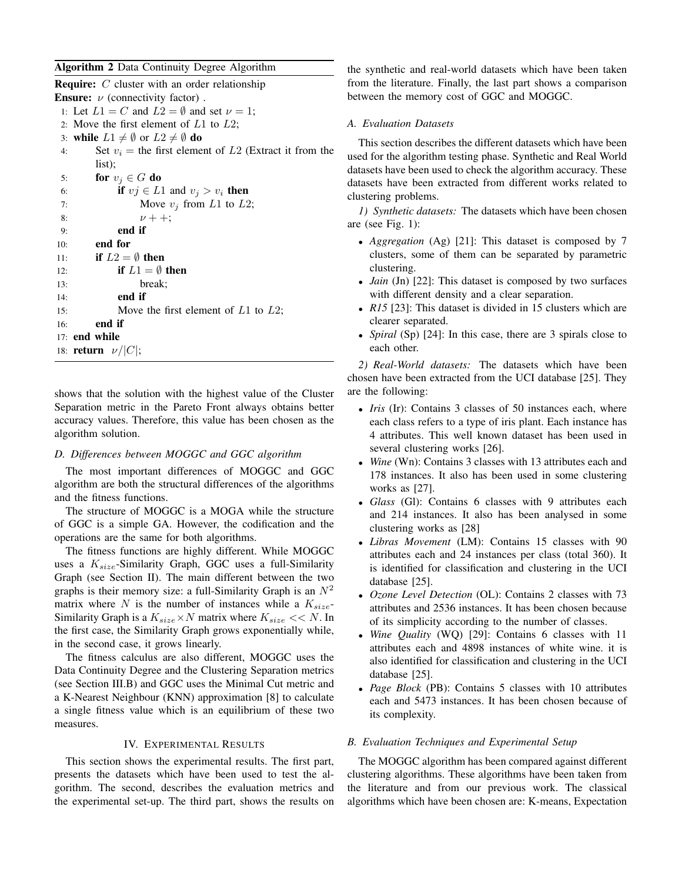#### Algorithm 2 Data Continuity Degree Algorithm

| <b>Require:</b> $C$ cluster with an order relationship         |
|----------------------------------------------------------------|
| <b>Ensure:</b> $\nu$ (connectivity factor).                    |
| 1: Let $L1 = C$ and $L2 = \emptyset$ and set $\nu = 1$ ;       |
| 2: Move the first element of $L1$ to $L2$ ;                    |
| 3: while $L1 \neq \emptyset$ or $L2 \neq \emptyset$ do         |
| Set $v_i$ = the first element of L2 (Extract it from the<br>4: |
| list);                                                         |
| for $v_i \in G$ do<br>5:                                       |
| <b>if</b> $vj \in L1$ and $v_j > v_i$ <b>then</b><br>6:        |
| Move $v_j$ from L1 to L2;<br>7:                                |
| $\nu + +$ ;<br>8:                                              |
| end if<br>9:                                                   |
| end for<br>10:                                                 |
| if $L2 = \emptyset$ then<br>11:                                |
| if $L1 = \emptyset$ then<br>12:                                |
| break;<br>13:                                                  |
| end if<br>14:                                                  |
| Move the first element of $L1$ to $L2$ ;<br>15:                |
| end if<br>16:                                                  |
| $17:$ end while                                                |
| 18: <b>return</b> $\nu/ C $ ;                                  |
|                                                                |

shows that the solution with the highest value of the Cluster Separation metric in the Pareto Front always obtains better accuracy values. Therefore, this value has been chosen as the algorithm solution.

#### *D. Differences between MOGGC and GGC algorithm*

The most important differences of MOGGC and GGC algorithm are both the structural differences of the algorithms and the fitness functions.

The structure of MOGGC is a MOGA while the structure of GGC is a simple GA. However, the codification and the operations are the same for both algorithms.

The fitness functions are highly different. While MOGGC uses a  $K_{size}$ -Similarity Graph, GGC uses a full-Similarity Graph (see Section II). The main different between the two graphs is their memory size: a full-Similarity Graph is an  $N^2$ matrix where N is the number of instances while a  $K_{size}$ -Similarity Graph is a  $K_{size} \times N$  matrix where  $K_{size} \ll N$ . In the first case, the Similarity Graph grows exponentially while, in the second case, it grows linearly.

The fitness calculus are also different, MOGGC uses the Data Continuity Degree and the Clustering Separation metrics (see Section III.B) and GGC uses the Minimal Cut metric and a K-Nearest Neighbour (KNN) approximation [8] to calculate a single fitness value which is an equilibrium of these two measures.

## IV. EXPERIMENTAL RESULTS

This section shows the experimental results. The first part, presents the datasets which have been used to test the algorithm. The second, describes the evaluation metrics and the experimental set-up. The third part, shows the results on the synthetic and real-world datasets which have been taken from the literature. Finally, the last part shows a comparison between the memory cost of GGC and MOGGC.

#### *A. Evaluation Datasets*

This section describes the different datasets which have been used for the algorithm testing phase. Synthetic and Real World datasets have been used to check the algorithm accuracy. These datasets have been extracted from different works related to clustering problems.

*1) Synthetic datasets:* The datasets which have been chosen are (see Fig. 1):

- *Aggregation* (Ag) [21]: This dataset is composed by 7 clusters, some of them can be separated by parametric clustering.
- *Jain* (Jn) [22]: This dataset is composed by two surfaces with different density and a clear separation.
- *R15* [23]: This dataset is divided in 15 clusters which are clearer separated.
- *Spiral* (Sp) [24]: In this case, there are 3 spirals close to each other.

*2) Real-World datasets:* The datasets which have been chosen have been extracted from the UCI database [25]. They are the following:

- *Iris* (Ir): Contains 3 classes of 50 instances each, where each class refers to a type of iris plant. Each instance has 4 attributes. This well known dataset has been used in several clustering works [26].
- *Wine* (Wn): Contains 3 classes with 13 attributes each and 178 instances. It also has been used in some clustering works as [27].
- *Glass* (Gl): Contains 6 classes with 9 attributes each and 214 instances. It also has been analysed in some clustering works as [28]
- *Libras Movement* (LM): Contains 15 classes with 90 attributes each and 24 instances per class (total 360). It is identified for classification and clustering in the UCI database [25].
- *Ozone Level Detection* (OL): Contains 2 classes with 73 attributes and 2536 instances. It has been chosen because of its simplicity according to the number of classes.
- *Wine Quality* (WQ) [29]: Contains 6 classes with 11 attributes each and 4898 instances of white wine. it is also identified for classification and clustering in the UCI database [25].
- *Page Block* (PB): Contains 5 classes with 10 attributes each and 5473 instances. It has been chosen because of its complexity.

## *B. Evaluation Techniques and Experimental Setup*

The MOGGC algorithm has been compared against different clustering algorithms. These algorithms have been taken from the literature and from our previous work. The classical algorithms which have been chosen are: K-means, Expectation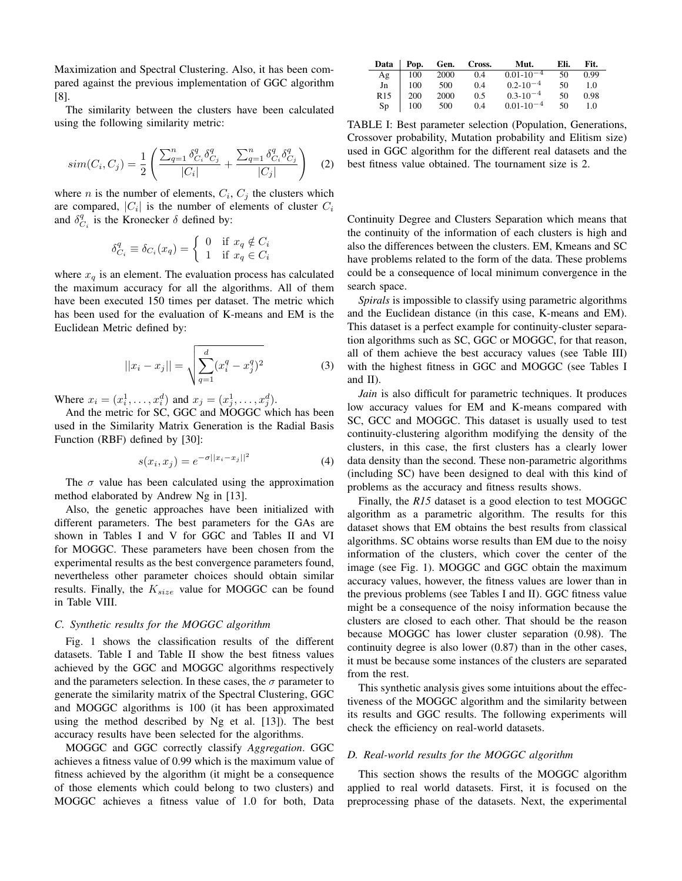Maximization and Spectral Clustering. Also, it has been compared against the previous implementation of GGC algorithm [8].

The similarity between the clusters have been calculated using the following similarity metric:

$$
sim(C_i, C_j) = \frac{1}{2} \left( \frac{\sum_{q=1}^{n} \delta_{C_i}^{q} \delta_{C_j}^{q}}{|C_i|} + \frac{\sum_{q=1}^{n} \delta_{C_i}^{q} \delta_{C_j}^{q}}{|C_j|} \right) \quad (2)
$$

where *n* is the number of elements,  $C_i$ ,  $C_j$  the clusters which are compared,  $|C_i|$  is the number of elements of cluster  $C_i$ and  $\delta_{C_i}^q$  is the Kronecker  $\delta$  defined by:

$$
\delta_{C_i}^q \equiv \delta_{C_i}(x_q) = \begin{cases} 0 & \text{if } x_q \notin C_i \\ 1 & \text{if } x_q \in C_i \end{cases}
$$

where  $x_q$  is an element. The evaluation process has calculated the maximum accuracy for all the algorithms. All of them have been executed 150 times per dataset. The metric which has been used for the evaluation of K-means and EM is the Euclidean Metric defined by:

$$
||x_i - x_j|| = \sqrt{\sum_{q=1}^d (x_i^q - x_j^q)^2}
$$
 (3)

Where  $x_i = (x_i^1, ..., x_i^d)$  and  $x_j = (x_j^1, ..., x_j^d)$ .

And the metric for SC, GGC and MOGGC which has been used in the Similarity Matrix Generation is the Radial Basis Function (RBF) defined by [30]:

$$
s(x_i, x_j) = e^{-\sigma ||x_i - x_j||^2}
$$
 (4)

The  $\sigma$  value has been calculated using the approximation method elaborated by Andrew Ng in [13].

Also, the genetic approaches have been initialized with different parameters. The best parameters for the GAs are shown in Tables I and V for GGC and Tables II and VI for MOGGC. These parameters have been chosen from the experimental results as the best convergence parameters found, nevertheless other parameter choices should obtain similar results. Finally, the  $K_{size}$  value for MOGGC can be found in Table VIII.

## *C. Synthetic results for the MOGGC algorithm*

Fig. 1 shows the classification results of the different datasets. Table I and Table II show the best fitness values achieved by the GGC and MOGGC algorithms respectively and the parameters selection. In these cases, the  $\sigma$  parameter to generate the similarity matrix of the Spectral Clustering, GGC and MOGGC algorithms is 100 (it has been approximated using the method described by Ng et al. [13]). The best accuracy results have been selected for the algorithms.

MOGGC and GGC correctly classify *Aggregation*. GGC achieves a fitness value of 0.99 which is the maximum value of fitness achieved by the algorithm (it might be a consequence of those elements which could belong to two clusters) and MOGGC achieves a fitness value of 1.0 for both, Data

| Data            | Pop. | Gen. | Cross. | Mut.             | Eli. | Fit. |
|-----------------|------|------|--------|------------------|------|------|
| Ag              | 100  | 2000 | 0.4    | $0.01 - 10^{-4}$ | 50   | 0.99 |
| Jn              | 100  | 500  | 0.4    | $0.2 - 10^{-4}$  | 50   | 1.0  |
| R <sub>15</sub> | 200  | 2000 | 0.5    | $0.3 - 10^{-4}$  | 50   | 0.98 |
| Sp              | 100  | 500  | 0.4    | $0.01 - 10^{-4}$ | 50   | 1.0  |

TABLE I: Best parameter selection (Population, Generations, Crossover probability, Mutation probability and Elitism size) used in GGC algorithm for the different real datasets and the best fitness value obtained. The tournament size is 2.

Continuity Degree and Clusters Separation which means that the continuity of the information of each clusters is high and also the differences between the clusters. EM, Kmeans and SC have problems related to the form of the data. These problems could be a consequence of local minimum convergence in the search space.

*Spirals* is impossible to classify using parametric algorithms and the Euclidean distance (in this case, K-means and EM). This dataset is a perfect example for continuity-cluster separation algorithms such as SC, GGC or MOGGC, for that reason, all of them achieve the best accuracy values (see Table III) with the highest fitness in GGC and MOGGC (see Tables I and II).

*Jain* is also difficult for parametric techniques. It produces low accuracy values for EM and K-means compared with SC, GCC and MOGGC. This dataset is usually used to test continuity-clustering algorithm modifying the density of the clusters, in this case, the first clusters has a clearly lower data density than the second. These non-parametric algorithms (including SC) have been designed to deal with this kind of problems as the accuracy and fitness results shows.

Finally, the *R15* dataset is a good election to test MOGGC algorithm as a parametric algorithm. The results for this dataset shows that EM obtains the best results from classical algorithms. SC obtains worse results than EM due to the noisy information of the clusters, which cover the center of the image (see Fig. 1). MOGGC and GGC obtain the maximum accuracy values, however, the fitness values are lower than in the previous problems (see Tables I and II). GGC fitness value might be a consequence of the noisy information because the clusters are closed to each other. That should be the reason because MOGGC has lower cluster separation (0.98). The continuity degree is also lower (0.87) than in the other cases, it must be because some instances of the clusters are separated from the rest.

This synthetic analysis gives some intuitions about the effectiveness of the MOGGC algorithm and the similarity between its results and GGC results. The following experiments will check the efficiency on real-world datasets.

#### *D. Real-world results for the MOGGC algorithm*

This section shows the results of the MOGGC algorithm applied to real world datasets. First, it is focused on the preprocessing phase of the datasets. Next, the experimental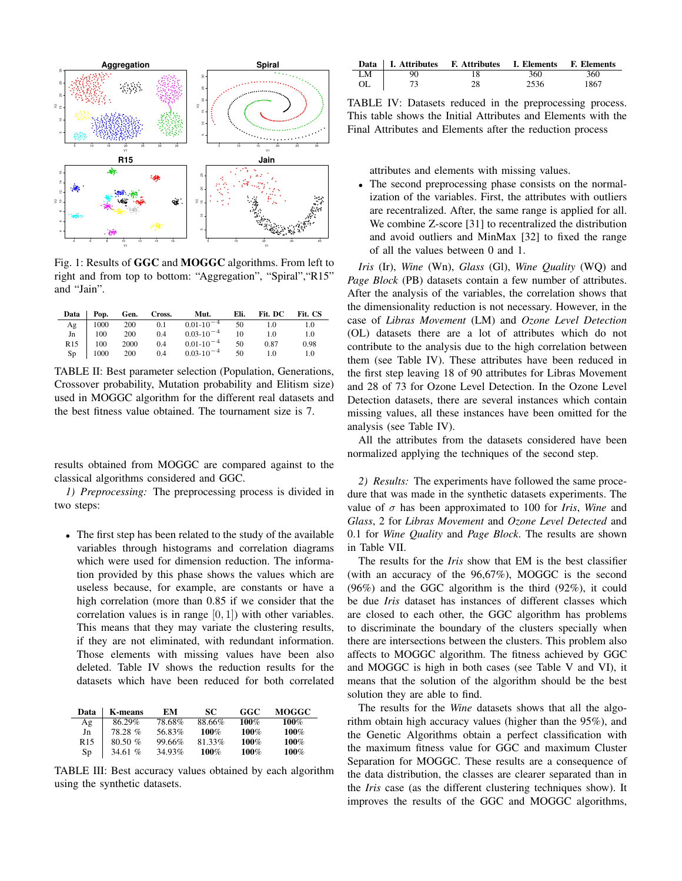

Fig. 1: Results of GGC and MOGGC algorithms. From left to right and from top to bottom: "Aggregation", "Spiral","R15" and "Jain".

|                 | Data Pop. | Gen. | Cross.  | Mut.             | Eli. | Fit. DC | Fit. CS |
|-----------------|-----------|------|---------|------------------|------|---------|---------|
| Ag              | 1000      |      | 200 0.1 | $0.01 - 10^{-4}$ | 50   | 1.0     | 1.0     |
| Jn              | 100       | 200  | 0.4     | $0.03 - 10^{-4}$ | 10   | 1.0     | 1.0     |
| R <sub>15</sub> | 100       | 2000 | 0.4     | $0.01 - 10^{-4}$ | 50   | 0.87    | 0.98    |
| Sp              | 1000      | 200  | 0.4     | $0.03 - 10^{-4}$ | 50   | 1.0     | 1.0     |

TABLE II: Best parameter selection (Population, Generations, Crossover probability, Mutation probability and Elitism size) used in MOGGC algorithm for the different real datasets and the best fitness value obtained. The tournament size is 7.

results obtained from MOGGC are compared against to the classical algorithms considered and GGC.

*1) Preprocessing:* The preprocessing process is divided in two steps:

• The first step has been related to the study of the available variables through histograms and correlation diagrams which were used for dimension reduction. The information provided by this phase shows the values which are useless because, for example, are constants or have a high correlation (more than 0.85 if we consider that the correlation values is in range  $[0, 1]$ ) with other variables. This means that they may variate the clustering results, if they are not eliminated, with redundant information. Those elements with missing values have been also deleted. Table IV shows the reduction results for the datasets which have been reduced for both correlated

| Data            | <b>K-means</b> | EМ     | SС     | GGC  | MOGGC |
|-----------------|----------------|--------|--------|------|-------|
| Ag              | 86.29%         | 78.68% | 88.66% | 100% | 100%  |
| Jn              | 78.28 %        | 56.83% | 100%   | 100% | 100%  |
| R <sub>15</sub> | 80.50%         | 99.66% | 81.33% | 100% | 100%  |
| Sp              | 34.61 %        | 34.93% | 100%   | 100% | 100%  |

TABLE III: Best accuracy values obtained by each algorithm using the synthetic datasets.

|     |    | Data   I. Attributes F. Attributes I. Elements F. Elements |      |      |
|-----|----|------------------------------------------------------------|------|------|
| LM  | 90 | 18                                                         | 360  | 360  |
| OL. |    | 28                                                         | 2536 | 1867 |

TABLE IV: Datasets reduced in the preprocessing process. This table shows the Initial Attributes and Elements with the Final Attributes and Elements after the reduction process

attributes and elements with missing values.

• The second preprocessing phase consists on the normalization of the variables. First, the attributes with outliers are recentralized. After, the same range is applied for all. We combine Z-score [31] to recentralized the distribution and avoid outliers and MinMax [32] to fixed the range of all the values between 0 and 1.

*Iris* (Ir), *Wine* (Wn), *Glass* (Gl), *Wine Quality* (WQ) and *Page Block* (PB) datasets contain a few number of attributes. After the analysis of the variables, the correlation shows that the dimensionality reduction is not necessary. However, in the case of *Libras Movement* (LM) and *Ozone Level Detection* (OL) datasets there are a lot of attributes which do not contribute to the analysis due to the high correlation between them (see Table IV). These attributes have been reduced in the first step leaving 18 of 90 attributes for Libras Movement and 28 of 73 for Ozone Level Detection. In the Ozone Level Detection datasets, there are several instances which contain missing values, all these instances have been omitted for the analysis (see Table IV).

All the attributes from the datasets considered have been normalized applying the techniques of the second step.

*2) Results:* The experiments have followed the same procedure that was made in the synthetic datasets experiments. The value of  $\sigma$  has been approximated to 100 for *Iris*, *Wine* and *Glass*, 2 for *Libras Movement* and *Ozone Level Detected* and 0.1 for *Wine Quality* and *Page Block*. The results are shown in Table VII.

The results for the *Iris* show that EM is the best classifier (with an accuracy of the 96,67%), MOGGC is the second (96%) and the GGC algorithm is the third (92%), it could be due *Iris* dataset has instances of different classes which are closed to each other, the GGC algorithm has problems to discriminate the boundary of the clusters specially when there are intersections between the clusters. This problem also affects to MOGGC algorithm. The fitness achieved by GGC and MOGGC is high in both cases (see Table V and VI), it means that the solution of the algorithm should be the best solution they are able to find.

The results for the *Wine* datasets shows that all the algorithm obtain high accuracy values (higher than the 95%), and the Genetic Algorithms obtain a perfect classification with the maximum fitness value for GGC and maximum Cluster Separation for MOGGC. These results are a consequence of the data distribution, the classes are clearer separated than in the *Iris* case (as the different clustering techniques show). It improves the results of the GGC and MOGGC algorithms,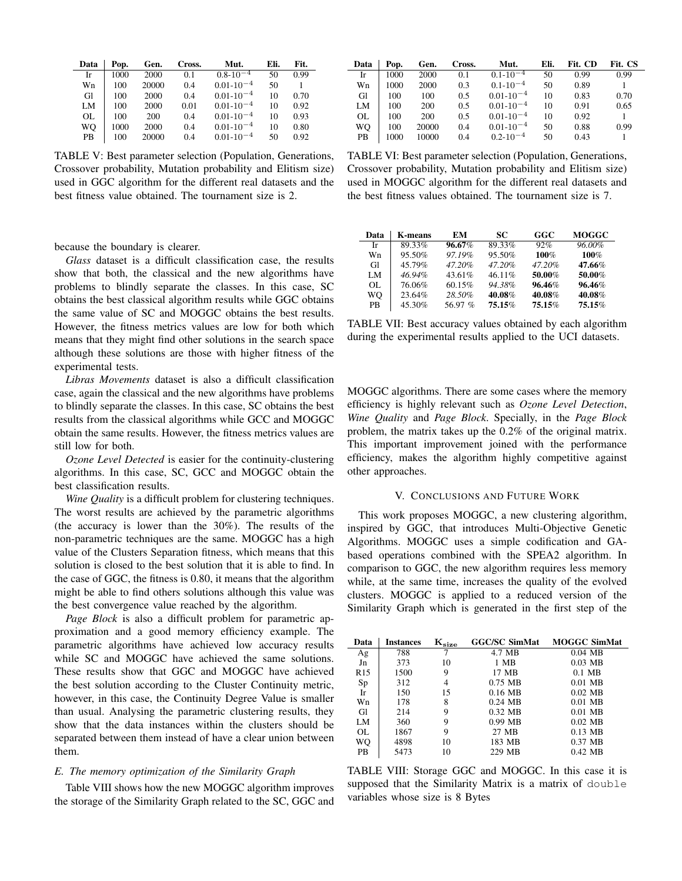| Data | Pop. | Gen.  | Cross. | Mut.             | Eli. | Fit. |
|------|------|-------|--------|------------------|------|------|
| Ir   | 1000 | 2000  | 0.1    | $0.8 - 10^{-4}$  | 50   | 0.99 |
| Wn   | 100  | 20000 | 0.4    | $0.01 - 10^{-4}$ | 50   |      |
| Gl   | 100  | 2000  | 0.4    | $0.01 - 10^{-4}$ | 10   | 0.70 |
| LM   | 100  | 2000  | 0.01   | $0.01 - 10^{-4}$ | 10   | 0.92 |
| OL.  | 100  | 200   | 0.4    | $0.01 - 10^{-4}$ | 10   | 0.93 |
| WO   | 1000 | 2000  | 0.4    | $0.01 - 10^{-4}$ | 10   | 0.80 |
| PВ   | 100  | 20000 | 0.4    | $0.01 - 10^{-4}$ | 50   | 0.92 |

TABLE V: Best parameter selection (Population, Generations, Crossover probability, Mutation probability and Elitism size) used in GGC algorithm for the different real datasets and the best fitness value obtained. The tournament size is 2.

because the boundary is clearer.

*Glass* dataset is a difficult classification case, the results show that both, the classical and the new algorithms have problems to blindly separate the classes. In this case, SC obtains the best classical algorithm results while GGC obtains the same value of SC and MOGGC obtains the best results. However, the fitness metrics values are low for both which means that they might find other solutions in the search space although these solutions are those with higher fitness of the experimental tests.

*Libras Movements* dataset is also a difficult classification case, again the classical and the new algorithms have problems to blindly separate the classes. In this case, SC obtains the best results from the classical algorithms while GCC and MOGGC obtain the same results. However, the fitness metrics values are still low for both.

*Ozone Level Detected* is easier for the continuity-clustering algorithms. In this case, SC, GCC and MOGGC obtain the best classification results.

*Wine Quality* is a difficult problem for clustering techniques. The worst results are achieved by the parametric algorithms (the accuracy is lower than the 30%). The results of the non-parametric techniques are the same. MOGGC has a high value of the Clusters Separation fitness, which means that this solution is closed to the best solution that it is able to find. In the case of GGC, the fitness is 0.80, it means that the algorithm might be able to find others solutions although this value was the best convergence value reached by the algorithm.

*Page Block* is also a difficult problem for parametric approximation and a good memory efficiency example. The parametric algorithms have achieved low accuracy results while SC and MOGGC have achieved the same solutions. These results show that GGC and MOGGC have achieved the best solution according to the Cluster Continuity metric, however, in this case, the Continuity Degree Value is smaller than usual. Analysing the parametric clustering results, they show that the data instances within the clusters should be separated between them instead of have a clear union between them.

#### *E. The memory optimization of the Similarity Graph*

Table VIII shows how the new MOGGC algorithm improves the storage of the Similarity Graph related to the SC, GGC and

| Data      | Pop. | Gen.  | Cross. | Mut.             | Eli. | Fit. CD | Fit. CS |
|-----------|------|-------|--------|------------------|------|---------|---------|
| Ir        | 1000 | 2000  | 0.1    | $0.1 - 10^{-4}$  | 50   | 0.99    | 0.99    |
| Wn        | 1000 | 2000  | 0.3    | $0.1 - 10^{-4}$  | 50   | 0.89    |         |
| Gl        | 100  | 100   | 0.5    | $0.01 - 10^{-4}$ | 10   | 0.83    | 0.70    |
| LM        | 100  | 200   | 0.5    | $0.01 - 10^{-4}$ | 10   | 0.91    | 0.65    |
| OL.       | 100  | 200   | 0.5    | $0.01 - 10^{-4}$ | 10   | 0.92    |         |
| WO        | 100  | 20000 | 0.4    | $0.01 - 10^{-4}$ | 50   | 0.88    | 0.99    |
| <b>PB</b> | 1000 | 10000 | 0.4    | $0.2 - 10^{-4}$  | 50   | 0.43    |         |

TABLE VI: Best parameter selection (Population, Generations, Crossover probability, Mutation probability and Elitism size) used in MOGGC algorithm for the different real datasets and the best fitness values obtained. The tournament size is 7.

| Data | K-means | EM      | SC.    | GGC    | MOGGC  |
|------|---------|---------|--------|--------|--------|
| Ir   | 89.33%  | 96.67%  | 89.33% | 92%    | 96.00% |
| Wn   | 95.50%  | 97.19%  | 95.50% | 100%   | 100%   |
| Gl   | 45.79%  | 47.20%  | 47.20% | 47.20% | 47.66% |
| LM   | 46.94%  | 43.61%  | 46.11% | 50.00% | 50.00% |
| OL.  | 76.06%  | 60.15%  | 94.38% | 96.46% | 96.46% |
| WO   | 23.64%  | 28.50%  | 40.08% | 40.08% | 40.08% |
| PB   | 45.30%  | 56.97 % | 75.15% | 75.15% | 75.15% |

TABLE VII: Best accuracy values obtained by each algorithm during the experimental results applied to the UCI datasets.

MOGGC algorithms. There are some cases where the memory efficiency is highly relevant such as *Ozone Level Detection*, *Wine Quality* and *Page Block*. Specially, in the *Page Block* problem, the matrix takes up the 0.2% of the original matrix. This important improvement joined with the performance efficiency, makes the algorithm highly competitive against other approaches.

#### V. CONCLUSIONS AND FUTURE WORK

This work proposes MOGGC, a new clustering algorithm, inspired by GGC, that introduces Multi-Objective Genetic Algorithms. MOGGC uses a simple codification and GAbased operations combined with the SPEA2 algorithm. In comparison to GGC, the new algorithm requires less memory while, at the same time, increases the quality of the evolved clusters. MOGGC is applied to a reduced version of the Similarity Graph which is generated in the first step of the

| Data            | <b>Instances</b> | $K_{\rm size}$ | <b>GGC/SC SimMat</b> | <b>MOGGC SimMat</b> |
|-----------------|------------------|----------------|----------------------|---------------------|
| Ag              | 788              | 7              | 4.7 MB               | $0.04$ MB           |
| Jn              | 373              | 10             | 1 MB                 | $0.03$ MB           |
| R <sub>15</sub> | 1500             | 9              | 17 MB                | $0.1$ MB            |
| Sp              | 312              | 4              | $0.75$ MB            | $0.01$ MB           |
| Ir              | 150              | 15             | $0.16$ MB            | $0.02$ MB           |
| Wn              | 178              | 8              | $0.24$ MB            | $0.01$ MB           |
| Gl              | 214              | 9              | $0.32$ MB            | $0.01$ MB           |
| LM              | 360              | 9              | $0.99$ MB            | $0.02$ MB           |
| OL.             | 1867             | 9              | 27 MB                | $0.13$ MB           |
| WQ              | 4898             | 10             | 183 MB               | 0.37 MB             |
| <b>PB</b>       | 5473             | 10             | 229 MB               | $0.42$ MB           |

TABLE VIII: Storage GGC and MOGGC. In this case it is supposed that the Similarity Matrix is a matrix of double variables whose size is 8 Bytes